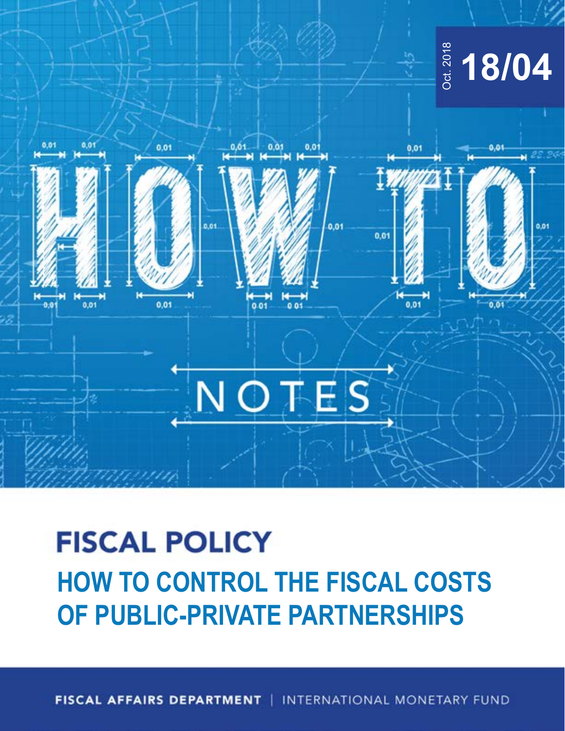

## **HOW TO CONTROL THE FISCAL COSTS**

**FISCAL AFFAIRS DEPARTMENT** INTERNATIONAL MONETARY FUND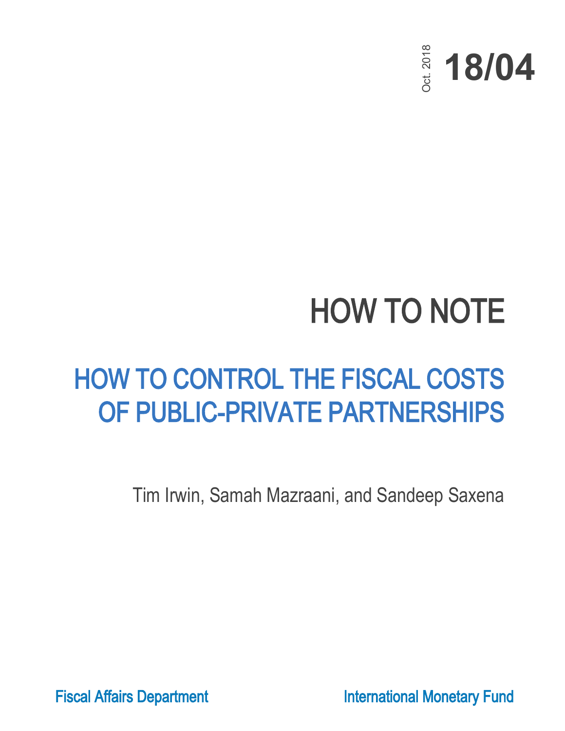

### HOW TO NOTE

# HOW TO CONTROL THE FISCAL COSTS  $\begin{array}{cccc}\n&\frac{\ddot{\ddot{\ddot{\theta}}}}{\dot{\ddot{\theta}}}&\frac{\dot{\ddot{\theta}}}{\dot{\theta}}&\frac{\dot{\ddot{\theta}}}{\dot{\theta}}&\frac{\dot{\ddot{\theta}}}{\dot{\theta}}&\frac{\dot{\ddot{\theta}}}{\dot{\theta}}&\frac{\dot{\ddot{\theta}}}{\dot{\theta}}&\frac{\dot{\ddot{\theta}}}{\dot{\theta}}&\frac{\dot{\ddot{\theta}}}{\dot{\theta}}&\frac{\dot{\ddot{\theta}}}{\dot{\theta}}&\frac{\dot{\ddot{\theta}}}{\dot{\theta}}&\frac{\dot{\ddot{\theta}}}{\dot{\theta}}&\frac{\dot{\ddot{\theta}}}{\dot{\theta}}&\$

Tim Irwin, Samah Mazraani, and Sandeep Saxena

Fiscal Affairs Department **International Monetary Fund**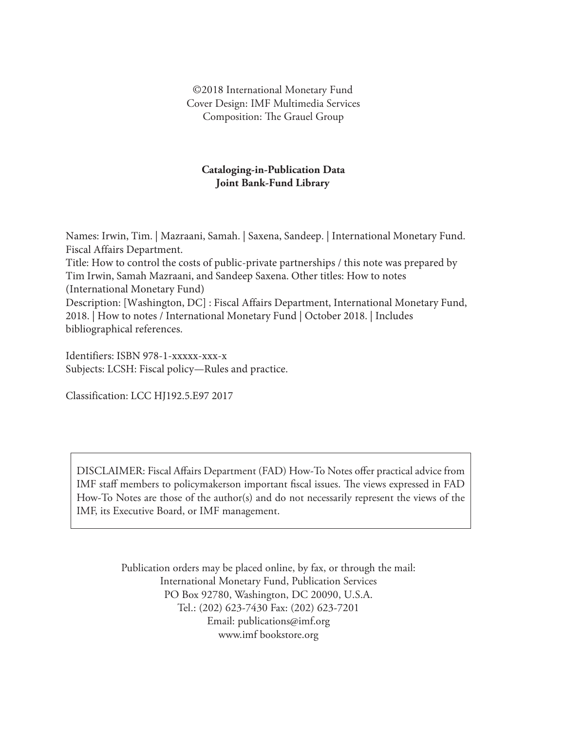©2018 International Monetary Fund Cover Design: IMF Multimedia Services Composition: The Grauel Group

### **Cataloging-in-Publication Data Joint Bank-Fund Library**

Names: Irwin, Tim. | Mazraani, Samah. | Saxena, Sandeep. | International Monetary Fund. Fiscal Affairs Department. Title: How to control the costs of public-private partnerships / this note was prepared by Tim Irwin, Samah Mazraani, and Sandeep Saxena. Other titles: How to notes (International Monetary Fund) Description: [Washington, DC] : Fiscal Affairs Department, International Monetary Fund, 2018. | How to notes / International Monetary Fund | October 2018. | Includes bibliographical references.

Identifiers: ISBN 978-1-xxxxx-xxx-x Subjects: LCSH: Fiscal policy—Rules and practice.

Classification: LCC HJ192.5.E97 2017

DISCLAIMER: Fiscal Affairs Department (FAD) How-To Notes offer practical advice from IMF staff members to policymakerson important fiscal issues. The views expressed in FAD How-To Notes are those of the author(s) and do not necessarily represent the views of the IMF, its Executive Board, or IMF management.

> Publication orders may be placed online, by fax, or through the mail: International Monetary Fund, Publication Services PO Box 92780, Washington, DC 20090, U.S.A. Tel.: (202) 623-7430 Fax: (202) 623-7201 Email: publications@imf.org www.imf bookstore.org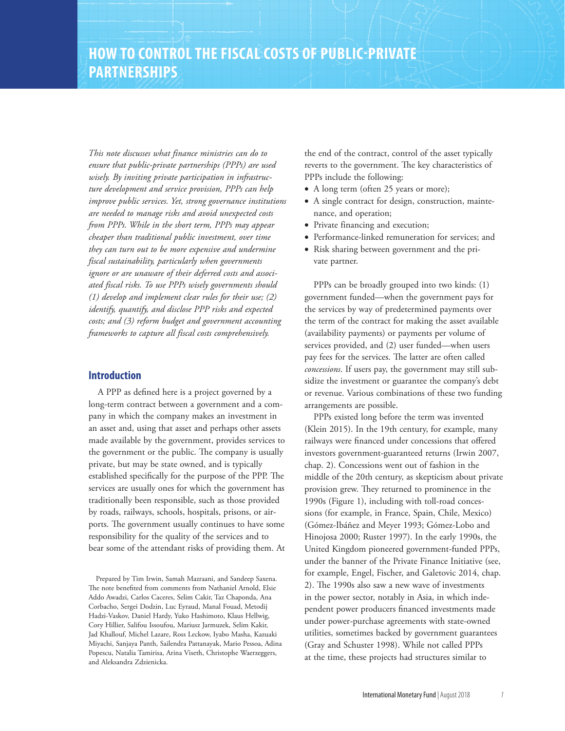*This note discusses what finance ministries can do to ensure that public-private partnerships (PPPs) are used wisely. By inviting private participation in infrastructure development and service provision, PPPs can help improve public services. Yet, strong governance institutions are needed to manage risks and avoid unexpected costs from PPPs. While in the short term, PPPs may appear cheaper than traditional public investment, over time they can turn out to be more expensive and undermine fiscal sustainability, particularly when governments ignore or are unaware of their deferred costs and associated fiscal risks. To use PPPs wisely governments should (1) develop and implement clear rules for their use; (2) identify, quantify, and disclose PPP risks and expected costs; and (3) reform budget and government accounting frameworks to capture all fiscal costs comprehensively.*

### **Introduction**

A PPP as defined here is a project governed by a long-term contract between a government and a company in which the company makes an investment in an asset and, using that asset and perhaps other assets made available by the government, provides services to the government or the public. The company is usually private, but may be state owned, and is typically established specifically for the purpose of the PPP. The services are usually ones for which the government has traditionally been responsible, such as those provided by roads, railways, schools, hospitals, prisons, or airports. The government usually continues to have some responsibility for the quality of the services and to bear some of the attendant risks of providing them. At

Prepared by Tim Irwin, Samah Mazraani, and Sandeep Saxena. The note benefited from comments from Nathaniel Arnold, Elsie Addo Awadzi, Carlos Caceres, Selim Cakir, Taz Chaponda, Ana Corbacho, Sergei Dodzin, Luc Eyraud, Manal Fouad, Metodij Hadzi-Vaskov, Daniel Hardy, Yuko Hashimoto, Klaus Hellwig, Cory Hillier, Salifou Issoufou, Mariusz Jarmuzek, Selim Kakir, Jad Khallouf, Michel Lazare, Ross Leckow, Iyabo Masha, Kazuaki Miyachi, Sanjaya Panth, Sailendra Pattanayak, Mario Pessoa, Adina Popescu, Natalia Tamirisa, Arina Viseth, Christophe Waerzeggers, and Aleksandra Zdzienicka.

the end of the contract, control of the asset typically reverts to the government. The key characteristics of PPPs include the following:

- A long term (often 25 years or more);
- A single contract for design, construction, maintenance, and operation;
- Private financing and execution;
- Performance-linked remuneration for services; and
- Risk sharing between government and the private partner.

PPPs can be broadly grouped into two kinds: (1) government funded—when the government pays for the services by way of predetermined payments over the term of the contract for making the asset available (availability payments) or payments per volume of services provided, and (2) user funded—when users pay fees for the services. The latter are often called *concessions*. If users pay, the government may still subsidize the investment or guarantee the company's debt or revenue. Various combinations of these two funding arrangements are possible.

PPPs existed long before the term was invented (Klein 2015). In the 19th century, for example, many railways were financed under concessions that offered investors government-guaranteed returns (Irwin 2007, chap. 2). Concessions went out of fashion in the middle of the 20th century, as skepticism about private provision grew. They returned to prominence in the 1990s (Figure 1), including with toll-road concessions (for example, in France, Spain, Chile, Mexico) (Gómez-Ibáñez and Meyer 1993; Gómez-Lobo and Hinojosa 2000; Ruster 1997). In the early 1990s, the United Kingdom pioneered government-funded PPPs, under the banner of the Private Finance Initiative (see, for example, Engel, Fischer, and Galetovic 2014, chap. 2). The 1990s also saw a new wave of investments in the power sector, notably in Asia, in which independent power producers financed investments made under power-purchase agreements with state-owned utilities, sometimes backed by government guarantees (Gray and Schuster 1998). While not called PPPs at the time, these projects had structures similar to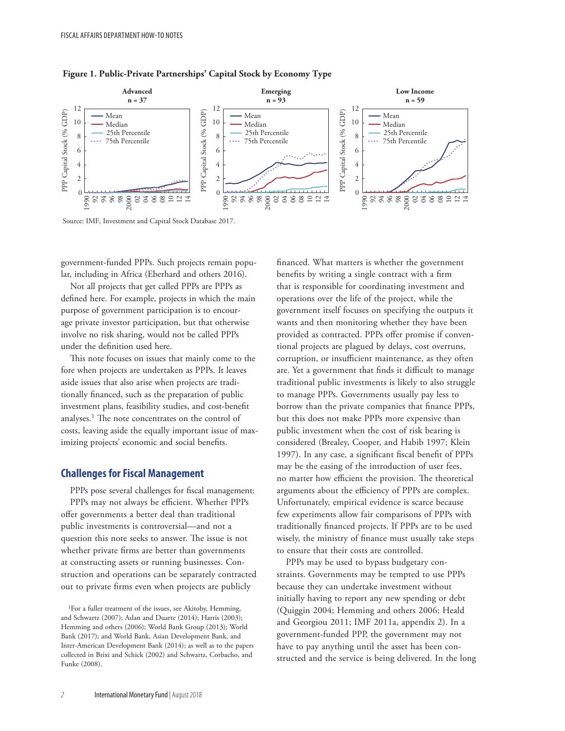

### **Figure 1. Public-Private Partnerships' Capital Stock by Economy Type**

Source: IMF, Investment and Capital Stock Database 2017.

government-funded PPPs. Such projects remain popular, including in Africa (Eberhard and others 2016).

Not all projects that get called PPPs are PPPs as defined here. For example, projects in which the main purpose of government participation is to encourage private investor participation, but that otherwise involve no risk sharing, would not be called PPPs under the definition used here.

This note focuses on issues that mainly come to the fore when projects are undertaken as PPPs. It leaves aside issues that also arise when projects are traditionally financed, such as the preparation of public investment plans, feasibility studies, and cost-benefit analyses.1 The note concentrates on the control of costs, leaving aside the equally important issue of maximizing projects' economic and social benefits.

### **Challenges for Fiscal Management**

PPPs pose several challenges for fiscal management: PPPs may not always be efficient. Whether PPPs offer governments a better deal than traditional public investments is controversial—and not a question this note seeks to answer. The issue is not whether private firms are better than governments at constructing assets or running businesses. Construction and operations can be separately contracted out to private firms even when projects are publicly

1For a fuller treatment of the issues, see Akitoby, Hemming, and Schwartz (2007); Aslan and Duarte (2014); Harris (2003); Hemming and others (2006); World Bank Group (2013); World Bank (2017); and World Bank, Asian Development Bank, and Inter-American Development Bank (2014); as well as to the papers collected in Brixi and Schick (2002) and Schwartz, Corbacho, and Funke (2008).

financed. What matters is whether the government benefits by writing a single contract with a firm that is responsible for coordinating investment and operations over the life of the project, while the government itself focuses on specifying the outputs it wants and then monitoring whether they have been provided as contracted. PPPs offer promise if conventional projects are plagued by delays, cost overruns, corruption, or insufficient maintenance, as they often are. Yet a government that finds it difficult to manage traditional public investments is likely to also struggle to manage PPPs. Governments usually pay less to borrow than the private companies that finance PPPs, but this does not make PPPs more expensive than public investment when the cost of risk bearing is considered (Brealey, Cooper, and Habib 1997; Klein 1997). In any case, a significant fiscal benefit of PPPs may be the easing of the introduction of user fees, no matter how efficient the provision. The theoretical arguments about the efficiency of PPPs are complex. Unfortunately, empirical evidence is scarce because few experiments allow fair comparisons of PPPs with traditionally financed projects. If PPPs are to be used wisely, the ministry of finance must usually take steps to ensure that their costs are controlled.

PPPs may be used to bypass budgetary constraints. Governments may be tempted to use PPPs because they can undertake investment without initially having to report any new spending or debt (Quiggin 2004; Hemming and others 2006; Heald and Georgiou 2011; IMF 2011a, appendix 2). In a government-funded PPP, the government may not have to pay anything until the asset has been constructed and the service is being delivered. In the long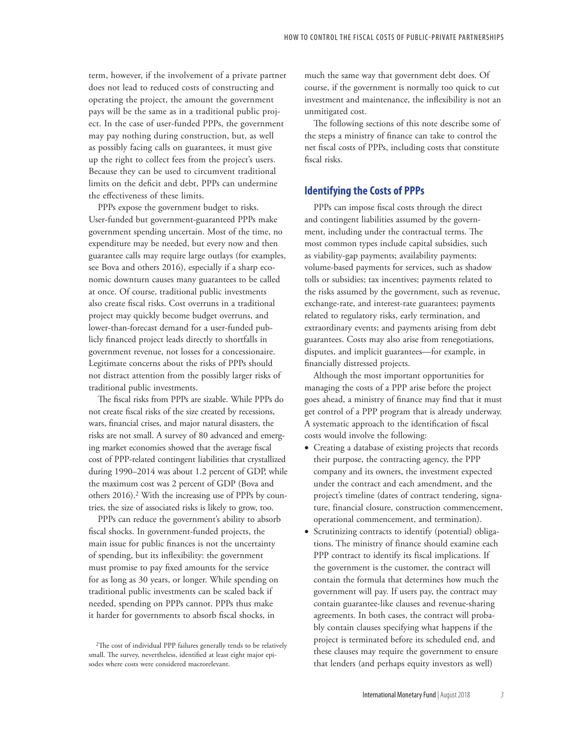term, however, if the involvement of a private partner does not lead to reduced costs of constructing and operating the project, the amount the government pays will be the same as in a traditional public project. In the case of user-funded PPPs, the government may pay nothing during construction, but, as well as possibly facing calls on guarantees, it must give up the right to collect fees from the project's users. Because they can be used to circumvent traditional limits on the deficit and debt, PPPs can undermine the effectiveness of these limits.

PPPs expose the government budget to risks. User-funded but government-guaranteed PPPs make government spending uncertain. Most of the time, no expenditure may be needed, but every now and then guarantee calls may require large outlays (for examples, see Bova and others 2016), especially if a sharp economic downturn causes many guarantees to be called at once. Of course, traditional public investments also create fiscal risks. Cost overruns in a traditional project may quickly become budget overruns, and lower-than-forecast demand for a user-funded publicly financed project leads directly to shortfalls in government revenue, not losses for a concessionaire. Legitimate concerns about the risks of PPPs should not distract attention from the possibly larger risks of traditional public investments.

The fiscal risks from PPPs are sizable. While PPPs do not create fiscal risks of the size created by recessions, wars, financial crises, and major natural disasters, the risks are not small. A survey of 80 advanced and emerging market economies showed that the average fiscal cost of PPP-related contingent liabilities that crystallized during 1990–2014 was about 1.2 percent of GDP, while the maximum cost was 2 percent of GDP (Bova and others 2016).<sup>2</sup> With the increasing use of PPPs by countries, the size of associated risks is likely to grow, too.

PPPs can reduce the government's ability to absorb fiscal shocks. In government-funded projects, the main issue for public finances is not the uncertainty of spending, but its inflexibility: the government must promise to pay fixed amounts for the service for as long as 30 years, or longer. While spending on traditional public investments can be scaled back if needed, spending on PPPs cannot. PPPs thus make it harder for governments to absorb fiscal shocks, in

much the same way that government debt does. Of course, if the government is normally too quick to cut investment and maintenance, the inflexibility is not an unmitigated cost.

The following sections of this note describe some of the steps a ministry of finance can take to control the net fiscal costs of PPPs, including costs that constitute fiscal risks.

### **Identifying the Costs of PPPs**

PPPs can impose fiscal costs through the direct and contingent liabilities assumed by the government, including under the contractual terms. The most common types include capital subsidies, such as viability-gap payments; availability payments; volume-based payments for services, such as shadow tolls or subsidies; tax incentives; payments related to the risks assumed by the government, such as revenue, exchange-rate, and interest-rate guarantees; payments related to regulatory risks, early termination, and extraordinary events; and payments arising from debt guarantees. Costs may also arise from renegotiations, disputes, and implicit guarantees—for example, in financially distressed projects.

Although the most important opportunities for managing the costs of a PPP arise before the project goes ahead, a ministry of finance may find that it must get control of a PPP program that is already underway. A systematic approach to the identification of fiscal costs would involve the following:

- Creating a database of existing projects that records their purpose, the contracting agency, the PPP company and its owners, the investment expected under the contract and each amendment, and the project's timeline (dates of contract tendering, signature, financial closure, construction commencement, operational commencement, and termination).
- Scrutinizing contracts to identify (potential) obligations. The ministry of finance should examine each PPP contract to identify its fiscal implications. If the government is the customer, the contract will contain the formula that determines how much the government will pay. If users pay, the contract may contain guarantee-like clauses and revenue-sharing agreements. In both cases, the contract will probably contain clauses specifying what happens if the project is terminated before its scheduled end, and these clauses may require the government to ensure that lenders (and perhaps equity investors as well)

<sup>2</sup>The cost of individual PPP failures generally tends to be relatively small. The survey, nevertheless, identified at least eight major episodes where costs were considered macrorelevant.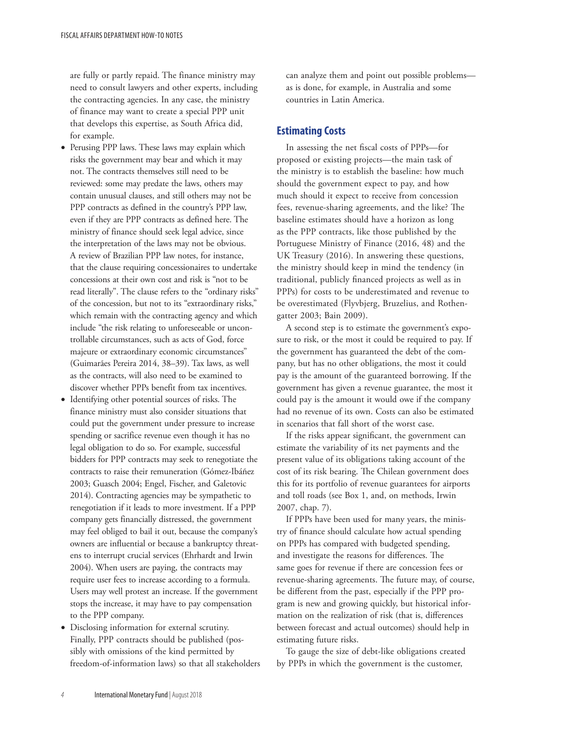are fully or partly repaid. The finance ministry may need to consult lawyers and other experts, including the contracting agencies. In any case, the ministry of finance may want to create a special PPP unit that develops this expertise, as South Africa did, for example.

- Perusing PPP laws. These laws may explain which risks the government may bear and which it may not. The contracts themselves still need to be reviewed: some may predate the laws, others may contain unusual clauses, and still others may not be PPP contracts as defined in the country's PPP law, even if they are PPP contracts as defined here. The ministry of finance should seek legal advice, since the interpretation of the laws may not be obvious. A review of Brazilian PPP law notes, for instance, that the clause requiring concessionaires to undertake concessions at their own cost and risk is "not to be read literally". The clause refers to the "ordinary risks" of the concession, but not to its "extraordinary risks," which remain with the contracting agency and which include "the risk relating to unforeseeable or uncontrollable circumstances, such as acts of God, force majeure or extraordinary economic circumstances" (Guimarães Pereira 2014, 38–39). Tax laws, as well as the contracts, will also need to be examined to discover whether PPPs benefit from tax incentives.
- Identifying other potential sources of risks. The finance ministry must also consider situations that could put the government under pressure to increase spending or sacrifice revenue even though it has no legal obligation to do so. For example, successful bidders for PPP contracts may seek to renegotiate the contracts to raise their remuneration (Gómez-Ibáñez 2003; Guasch 2004; Engel, Fischer, and Galetovic 2014). Contracting agencies may be sympathetic to renegotiation if it leads to more investment. If a PPP company gets financially distressed, the government may feel obliged to bail it out, because the company's owners are influential or because a bankruptcy threatens to interrupt crucial services (Ehrhardt and Irwin 2004). When users are paying, the contracts may require user fees to increase according to a formula. Users may well protest an increase. If the government stops the increase, it may have to pay compensation to the PPP company.
- Disclosing information for external scrutiny. Finally, PPP contracts should be published (possibly with omissions of the kind permitted by freedom-of-information laws) so that all stakeholders

can analyze them and point out possible problems as is done, for example, in Australia and some countries in Latin America.

### **Estimating Costs**

In assessing the net fiscal costs of PPPs—for proposed or existing projects—the main task of the ministry is to establish the baseline: how much should the government expect to pay, and how much should it expect to receive from concession fees, revenue-sharing agreements, and the like? The baseline estimates should have a horizon as long as the PPP contracts, like those published by the Portuguese Ministry of Finance (2016, 48) and the UK Treasury (2016). In answering these questions, the ministry should keep in mind the tendency (in traditional, publicly financed projects as well as in PPPs) for costs to be underestimated and revenue to be overestimated (Flyvbjerg, Bruzelius, and Rothengatter 2003; Bain 2009).

A second step is to estimate the government's exposure to risk, or the most it could be required to pay. If the government has guaranteed the debt of the company, but has no other obligations, the most it could pay is the amount of the guaranteed borrowing. If the government has given a revenue guarantee, the most it could pay is the amount it would owe if the company had no revenue of its own. Costs can also be estimated in scenarios that fall short of the worst case.

If the risks appear significant, the government can estimate the variability of its net payments and the present value of its obligations taking account of the cost of its risk bearing. The Chilean government does this for its portfolio of revenue guarantees for airports and toll roads (see Box 1, and, on methods, Irwin 2007, chap. 7).

If PPPs have been used for many years, the ministry of finance should calculate how actual spending on PPPs has compared with budgeted spending, and investigate the reasons for differences. The same goes for revenue if there are concession fees or revenue-sharing agreements. The future may, of course, be different from the past, especially if the PPP program is new and growing quickly, but historical information on the realization of risk (that is, differences between forecast and actual outcomes) should help in estimating future risks.

To gauge the size of debt-like obligations created by PPPs in which the government is the customer,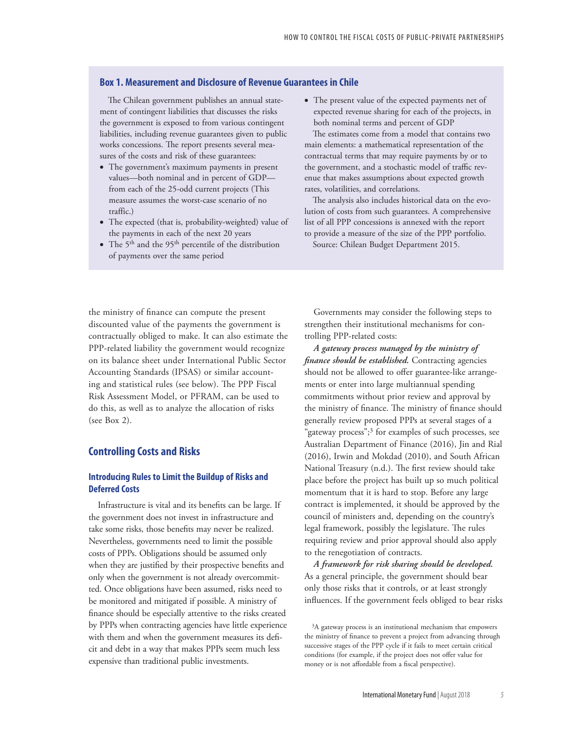### **Box 1. Measurement and Disclosure of Revenue Guarantees in Chile**

The Chilean government publishes an annual statement of contingent liabilities that discusses the risks the government is exposed to from various contingent liabilities, including revenue guarantees given to public works concessions. The report presents several measures of the costs and risk of these guarantees:

- The government's maximum payments in present values—both nominal and in percent of GDP from each of the 25-odd current projects (This measure assumes the worst-case scenario of no traffic.)
- The expected (that is, probability-weighted) value of the payments in each of the next 20 years
- The 5<sup>th</sup> and the 95<sup>th</sup> percentile of the distribution of payments over the same period

• The present value of the expected payments net of expected revenue sharing for each of the projects, in both nominal terms and percent of GDP

The estimates come from a model that contains two main elements: a mathematical representation of the contractual terms that may require payments by or to the government, and a stochastic model of traffic revenue that makes assumptions about expected growth rates, volatilities, and correlations.

The analysis also includes historical data on the evolution of costs from such guarantees. A comprehensive list of all PPP concessions is annexed with the report to provide a measure of the size of the PPP portfolio. Source: Chilean Budget Department 2015.

the ministry of finance can compute the present discounted value of the payments the government is contractually obliged to make. It can also estimate the PPP-related liability the government would recognize on its balance sheet under International Public Sector Accounting Standards (IPSAS) or similar accounting and statistical rules (see below). The PPP Fiscal Risk Assessment Model, or PFRAM, can be used to do this, as well as to analyze the allocation of risks (see Box 2).

### **Controlling Costs and Risks**

### **Introducing Rules to Limit the Buildup of Risks and Deferred Costs**

Infrastructure is vital and its benefits can be large. If the government does not invest in infrastructure and take some risks, those benefits may never be realized. Nevertheless, governments need to limit the possible costs of PPPs. Obligations should be assumed only when they are justified by their prospective benefits and only when the government is not already overcommitted. Once obligations have been assumed, risks need to be monitored and mitigated if possible. A ministry of finance should be especially attentive to the risks created by PPPs when contracting agencies have little experience with them and when the government measures its deficit and debt in a way that makes PPPs seem much less expensive than traditional public investments.

Governments may consider the following steps to strengthen their institutional mechanisms for controlling PPP-related costs:

*A gateway process managed by the ministry of finance should be established.* Contracting agencies should not be allowed to offer guarantee-like arrangements or enter into large multiannual spending commitments without prior review and approval by the ministry of finance. The ministry of finance should generally review proposed PPPs at several stages of a "gateway process";<sup>3</sup> for examples of such processes, see Australian Department of Finance (2016), Jin and Rial (2016), Irwin and Mokdad (2010), and South African National Treasury (n.d.). The first review should take place before the project has built up so much political momentum that it is hard to stop. Before any large contract is implemented, it should be approved by the council of ministers and, depending on the country's legal framework, possibly the legislature. The rules requiring review and prior approval should also apply to the renegotiation of contracts.

*A framework for risk sharing should be developed.* As a general principle, the government should bear only those risks that it controls, or at least strongly influences. If the government feels obliged to bear risks

<sup>&</sup>lt;sup>3</sup>A gateway process is an institutional mechanism that empowers the ministry of finance to prevent a project from advancing through successive stages of the PPP cycle if it fails to meet certain critical conditions (for example, if the project does not offer value for money or is not affordable from a fiscal perspective).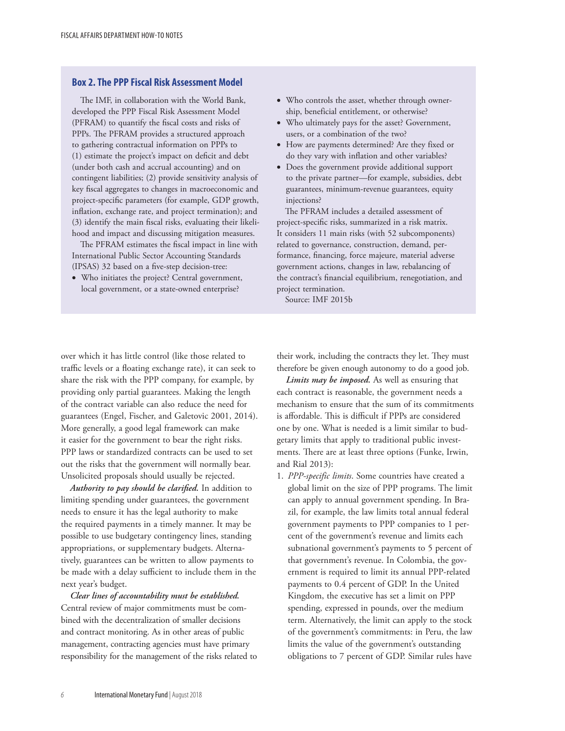### **Box 2. The PPP Fiscal Risk Assessment Model**

The IMF, in collaboration with the World Bank, developed the PPP Fiscal Risk Assessment Model (PFRAM) to quantify the fiscal costs and risks of PPPs. The PFRAM provides a structured approach to gathering contractual information on PPPs to (1) estimate the project's impact on deficit and debt (under both cash and accrual accounting) and on contingent liabilities; (2) provide sensitivity analysis of key fiscal aggregates to changes in macroeconomic and project-specific parameters (for example, GDP growth, inflation, exchange rate, and project termination); and (3) identify the main fiscal risks, evaluating their likelihood and impact and discussing mitigation measures.

The PFRAM estimates the fiscal impact in line with International Public Sector Accounting Standards (IPSAS) 32 based on a five-step decision-tree:

• Who initiates the project? Central government, local government, or a state-owned enterprise?

- Who controls the asset, whether through ownership, beneficial entitlement, or otherwise?
- Who ultimately pays for the asset? Government, users, or a combination of the two?
- How are payments determined? Are they fixed or do they vary with inflation and other variables?
- Does the government provide additional support to the private partner—for example, subsidies, debt guarantees, minimum-revenue guarantees, equity injections?

The PFRAM includes a detailed assessment of project-specific risks, summarized in a risk matrix. It considers 11 main risks (with 52 subcomponents) related to governance, construction, demand, performance, financing, force majeure, material adverse government actions, changes in law, rebalancing of the contract's financial equilibrium, renegotiation, and project termination.

Source: IMF 2015b

over which it has little control (like those related to traffic levels or a floating exchange rate), it can seek to share the risk with the PPP company, for example, by providing only partial guarantees. Making the length of the contract variable can also reduce the need for guarantees (Engel, Fischer, and Galetovic 2001, 2014). More generally, a good legal framework can make it easier for the government to bear the right risks. PPP laws or standardized contracts can be used to set out the risks that the government will normally bear. Unsolicited proposals should usually be rejected.

*Authority to pay should be clarified.* In addition to limiting spending under guarantees, the government needs to ensure it has the legal authority to make the required payments in a timely manner. It may be possible to use budgetary contingency lines, standing appropriations, or supplementary budgets. Alternatively, guarantees can be written to allow payments to be made with a delay sufficient to include them in the next year's budget.

*Clear lines of accountability must be established.* Central review of major commitments must be combined with the decentralization of smaller decisions and contract monitoring. As in other areas of public management, contracting agencies must have primary responsibility for the management of the risks related to their work, including the contracts they let. They must therefore be given enough autonomy to do a good job.

*Limits may be imposed.* As well as ensuring that each contract is reasonable, the government needs a mechanism to ensure that the sum of its commitments is affordable. This is difficult if PPPs are considered one by one. What is needed is a limit similar to budgetary limits that apply to traditional public investments. There are at least three options (Funke, Irwin, and Rial 2013):

1. *PPP-specific limits*. Some countries have created a global limit on the size of PPP programs. The limit can apply to annual government spending. In Brazil, for example, the law limits total annual federal government payments to PPP companies to 1 percent of the government's revenue and limits each subnational government's payments to 5 percent of that government's revenue. In Colombia, the government is required to limit its annual PPP-related payments to 0.4 percent of GDP. In the United Kingdom, the executive has set a limit on PPP spending, expressed in pounds, over the medium term. Alternatively, the limit can apply to the stock of the government's commitments: in Peru, the law limits the value of the government's outstanding obligations to 7 percent of GDP. Similar rules have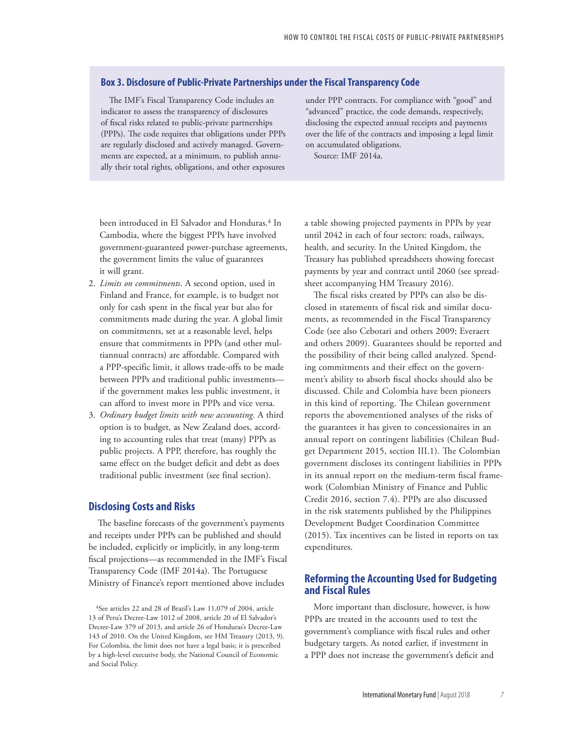### **Box 3. Disclosure of Public-Private Partnerships under the Fiscal Transparency Code**

The IMF's Fiscal Transparency Code includes an indicator to assess the transparency of disclosures of fiscal risks related to public-private partnerships (PPPs). The code requires that obligations under PPPs are regularly disclosed and actively managed. Governments are expected, at a minimum, to publish annually their total rights, obligations, and other exposures

under PPP contracts. For compliance with "good" and "advanced" practice, the code demands, respectively, disclosing the expected annual receipts and payments over the life of the contracts and imposing a legal limit on accumulated obligations.

Source: IMF 2014a.

been introduced in El Salvador and Honduras.<sup>4</sup> In Cambodia, where the biggest PPPs have involved government-guaranteed power-purchase agreements, the government limits the value of guarantees it will grant.

- 2. *Limits on commitments*. A second option, used in Finland and France, for example, is to budget not only for cash spent in the fiscal year but also for commitments made during the year. A global limit on commitments, set at a reasonable level, helps ensure that commitments in PPPs (and other multiannual contracts) are affordable. Compared with a PPP-specific limit, it allows trade-offs to be made between PPPs and traditional public investments if the government makes less public investment, it can afford to invest more in PPPs and vice versa.
- 3. *Ordinary budget limits with new accounting*. A third option is to budget, as New Zealand does, according to accounting rules that treat (many) PPPs as public projects. A PPP, therefore, has roughly the same effect on the budget deficit and debt as does traditional public investment (see final section).

### **Disclosing Costs and Risks**

The baseline forecasts of the government's payments and receipts under PPPs can be published and should be included, explicitly or implicitly, in any long-term fiscal projections—as recommended in the IMF's Fiscal Transparency Code (IMF 2014a). The Portuguese Ministry of Finance's report mentioned above includes

4See articles 22 and 28 of Brazil's Law 11,079 of 2004, article 13 of Peru's Decree-Law 1012 of 2008, article 20 of El Salvador's Decree-Law 379 of 2013, and article 26 of Honduras's Decree-Law 143 of 2010. On the United Kingdom, see HM Treasury (2013, 9). For Colombia, the limit does not have a legal basis; it is prescribed by a high-level executive body, the National Council of Economic and Social Policy.

a table showing projected payments in PPPs by year until 2042 in each of four sectors: roads, railways, health, and security. In the United Kingdom, the Treasury has published spreadsheets showing forecast payments by year and contract until 2060 (see spreadsheet accompanying HM Treasury 2016).

The fiscal risks created by PPPs can also be disclosed in statements of fiscal risk and similar documents, as recommended in the Fiscal Transparency Code (see also Cebotari and others 2009; Everaert and others 2009). Guarantees should be reported and the possibility of their being called analyzed. Spending commitments and their effect on the government's ability to absorb fiscal shocks should also be discussed. Chile and Colombia have been pioneers in this kind of reporting. The Chilean government reports the abovementioned analyses of the risks of the guarantees it has given to concessionaires in an annual report on contingent liabilities (Chilean Budget Department 2015, section III.1). The Colombian government discloses its contingent liabilities in PPPs in its annual report on the medium-term fiscal framework (Colombian Ministry of Finance and Public Credit 2016, section 7.4). PPPs are also discussed in the risk statements published by the Philippines Development Budget Coordination Committee (2015). Tax incentives can be listed in reports on tax expenditures.

### **Reforming the Accounting Used for Budgeting and Fiscal Rules**

More important than disclosure, however, is how PPPs are treated in the accounts used to test the government's compliance with fiscal rules and other budgetary targets. As noted earlier, if investment in a PPP does not increase the government's deficit and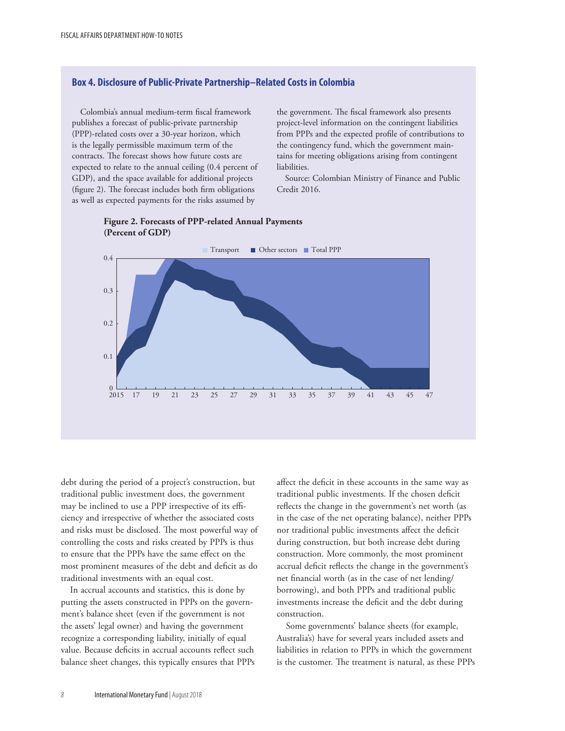### **Box 4. Disclosure of Public-Private Partnership–Related Costs in Colombia**

Colombia's annual medium-term fiscal framework publishes a forecast of public-private partnership (PPP)-related costs over a 30-year horizon, which is the legally permissible maximum term of the contracts. The forecast shows how future costs are expected to relate to the annual ceiling (0.4 percent of GDP), and the space available for additional projects (figure 2). The forecast includes both firm obligations as well as expected payments for the risks assumed by

the government. The fiscal framework also presents project-level information on the contingent liabilities from PPPs and the expected profile of contributions to the contingency fund, which the government maintains for meeting obligations arising from contingent liabilities.

Source: Colombian Ministry of Finance and Public Credit 2016.



### **Figure 2. Forecasts of PPP-related Annual Payments (Percent of GDP)**

debt during the period of a project's construction, but traditional public investment does, the government may be inclined to use a PPP irrespective of its efficiency and irrespective of whether the associated costs and risks must be disclosed. The most powerful way of controlling the costs and risks created by PPPs is thus to ensure that the PPPs have the same effect on the most prominent measures of the debt and deficit as do traditional investments with an equal cost.

In accrual accounts and statistics, this is done by putting the assets constructed in PPPs on the government's balance sheet (even if the government is not the assets' legal owner) and having the government recognize a corresponding liability, initially of equal value. Because deficits in accrual accounts reflect such balance sheet changes, this typically ensures that PPPs affect the deficit in these accounts in the same way as traditional public investments. If the chosen deficit reflects the change in the government's net worth (as in the case of the net operating balance), neither PPPs nor traditional public investments affect the deficit during construction, but both increase debt during construction. More commonly, the most prominent accrual deficit reflects the change in the government's net financial worth (as in the case of net lending/ borrowing), and both PPPs and traditional public investments increase the deficit and the debt during construction.

Some governments' balance sheets (for example, Australia's) have for several years included assets and liabilities in relation to PPPs in which the government is the customer. The treatment is natural, as these PPPs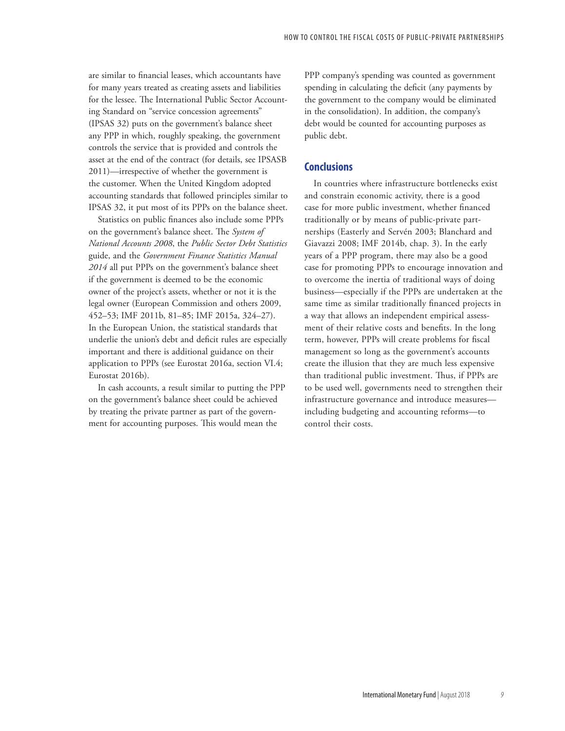are similar to financial leases, which accountants have for many years treated as creating assets and liabilities for the lessee. The International Public Sector Accounting Standard on "service concession agreements" (IPSAS 32) puts on the government's balance sheet any PPP in which, roughly speaking, the government controls the service that is provided and controls the asset at the end of the contract (for details, see IPSASB 2011)—irrespective of whether the government is the customer. When the United Kingdom adopted accounting standards that followed principles similar to IPSAS 32, it put most of its PPPs on the balance sheet.

Statistics on public finances also include some PPPs on the government's balance sheet. The *System of National Accounts 2008*, the *Public Sector Debt Statistics*  guide, and the *Government Finance Statistics Manual 2014* all put PPPs on the government's balance sheet if the government is deemed to be the economic owner of the project's assets, whether or not it is the legal owner (European Commission and others 2009, 452–53; IMF 2011b, 81–85; IMF 2015a, 324–27). In the European Union, the statistical standards that underlie the union's debt and deficit rules are especially important and there is additional guidance on their application to PPPs (see Eurostat 2016a, section VI.4; Eurostat 2016b).

In cash accounts, a result similar to putting the PPP on the government's balance sheet could be achieved by treating the private partner as part of the government for accounting purposes. This would mean the

PPP company's spending was counted as government spending in calculating the deficit (any payments by the government to the company would be eliminated in the consolidation). In addition, the company's debt would be counted for accounting purposes as public debt.

### **Conclusions**

In countries where infrastructure bottlenecks exist and constrain economic activity, there is a good case for more public investment, whether financed traditionally or by means of public-private partnerships (Easterly and Servén 2003; Blanchard and Giavazzi 2008; IMF 2014b, chap. 3). In the early years of a PPP program, there may also be a good case for promoting PPPs to encourage innovation and to overcome the inertia of traditional ways of doing business—especially if the PPPs are undertaken at the same time as similar traditionally financed projects in a way that allows an independent empirical assessment of their relative costs and benefits. In the long term, however, PPPs will create problems for fiscal management so long as the government's accounts create the illusion that they are much less expensive than traditional public investment. Thus, if PPPs are to be used well, governments need to strengthen their infrastructure governance and introduce measures including budgeting and accounting reforms—to control their costs.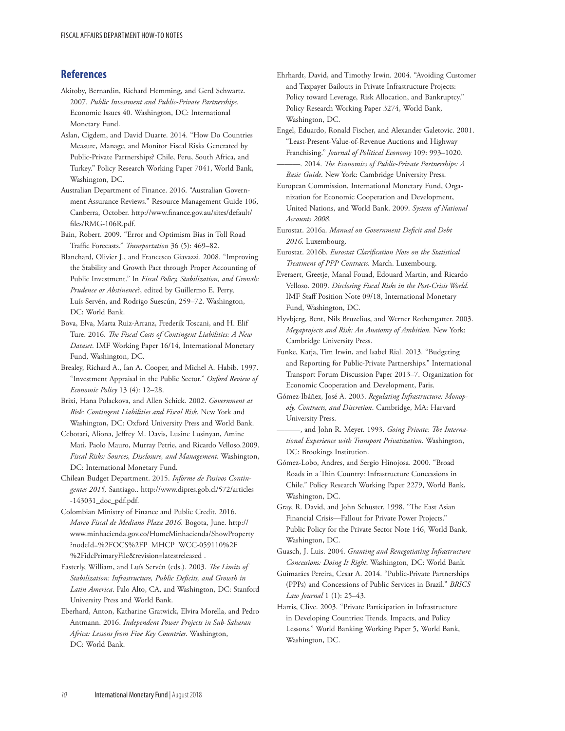### **References**

- Akitoby, Bernardin, Richard Hemming, and Gerd Schwartz. 2007. *Public Investment and Public-Private Partnerships*. Economic Issues 40. Washington, DC: International Monetary Fund.
- Aslan, Cigdem, and David Duarte. 2014. "How Do Countries Measure, Manage, and Monitor Fiscal Risks Generated by Public-Private Partnerships? Chile, Peru, South Africa, and Turkey." Policy Research Working Paper 7041, World Bank, Washington, DC.
- Australian Department of Finance. 2016. "Australian Government Assurance Reviews." Resource Management Guide 106, Canberra, October. http://www.finance.gov.au/sites/default/ files/RMG-106R.pdf.
- Bain, Robert. 2009. "Error and Optimism Bias in Toll Road Traffic Forecasts." *Transportation* 36 (5): 469–82.
- Blanchard, Olivier J., and Francesco Giavazzi. 2008. "Improving the Stability and Growth Pact through Proper Accounting of Public Investment." In *Fiscal Policy, Stabilization, and Growth: Prudence or Abstinence*?, edited by Guillermo E. Perry, Luís Servén, and Rodrigo Suescún, 259–72. Washington, DC: World Bank.
- Bova, Elva, Marta Ruiz-Arranz, Frederik Toscani, and H. Elif Ture. 2016. *The Fiscal Costs of Contingent Liabilities: A New Dataset*. IMF Working Paper 16/14, International Monetary Fund, Washington, DC.
- Brealey, Richard A., Ian A. Cooper, and Michel A. Habib. 1997. "Investment Appraisal in the Public Sector." *Oxford Review of Economic Policy* 13 (4): 12–28.
- Brixi, Hana Polackova, and Allen Schick. 2002. *Government at Risk: Contingent Liabilities and Fiscal Risk*. New York and Washington, DC: Oxford University Press and World Bank.
- Cebotari, Aliona, Jeffrey M. Davis, Lusine Lusinyan, Amine Mati, Paolo Mauro, Murray Petrie, and Ricardo Velloso.2009. *Fiscal Risks: Sources, Disclosure, and Management*. Washington, DC: International Monetary Fund.
- Chilean Budget Department. 2015. *Informe de Pasivos Contingentes 2015,* Santiago.. http://www.dipres.gob.cl/572/articles -143031\_doc\_pdf.pdf.
- Colombian Ministry of Finance and Public Credit. 2016. *Marco Fiscal de Mediano Plaza 2016*. Bogota, June. http:// www.minhacienda.gov.co/HomeMinhacienda/ShowProperty ?nodeId=%2FOCS%2FP\_MHCP\_WCC-059110%2F %2FidcPrimaryFile&revision=latestreleased .
- Easterly, William, and Luís Servén (eds.). 2003. *The Limits of Stabilization: Infrastructure, Public Deficits, and Growth in Latin America*. Palo Alto, CA, and Washington, DC: Stanford University Press and World Bank.
- Eberhard, Anton, Katharine Gratwick, Elvira Morella, and Pedro Antmann. 2016. *Independent Power Projects in Sub-Saharan Africa: Lessons from Five Key Countries*. Washington, DC: World Bank.
- Ehrhardt, David, and Timothy Irwin. 2004. "Avoiding Customer and Taxpayer Bailouts in Private Infrastructure Projects: Policy toward Leverage, Risk Allocation, and Bankruptcy." Policy Research Working Paper 3274, World Bank, Washington, DC.
- Engel, Eduardo, Ronald Fischer, and Alexander Galetovic. 2001. "Least-Present-Value-of-Revenue Auctions and Highway Franchising." *Journal of Political Economy* 109: 993–1020. ———. 2014. *The Economics of Public-Private Partnerships: A*
- *Basic Guide*. New York: Cambridge University Press.
- European Commission, International Monetary Fund, Organization for Economic Cooperation and Development, United Nations, and World Bank. 2009. *System of National Accounts 2008*.
- Eurostat. 2016a. *Manual on Government Deficit and Debt 2016*. Luxembourg.
- Eurostat. 2016b. *Eurostat Clarification Note on the Statistical Treatment of PPP Contracts*. March. Luxembourg.
- Everaert, Greetje, Manal Fouad, Edouard Martin, and Ricardo Velloso. 2009. *Disclosing Fiscal Risks in the Post-Crisis World*. IMF Staff Position Note 09/18, International Monetary Fund, Washington, DC.
- Flyvbjerg, Bent, Nils Bruzelius, and Werner Rothengatter. 2003. *Megaprojects and Risk: An Anatomy of Ambition*. New York: Cambridge University Press.
- Funke, Katja, Tim Irwin, and Isabel Rial. 2013. "Budgeting and Reporting for Public-Private Partnerships." International Transport Forum Discussion Paper 2013–7. Organization for Economic Cooperation and Development, Paris.
- Gómez-Ibáñez, José A. 2003. *Regulating Infrastructure: Monopoly, Contracts, and Discretion*. Cambridge, MA: Harvard University Press.
- -, and John R. Meyer. 1993. Going Private: The Interna*tional Experience with Transport Privatization*. Washington, DC: Brookings Institution.
- Gómez-Lobo, Andres, and Sergio Hinojosa. 2000. "Broad Roads in a Thin Country: Infrastructure Concessions in Chile." Policy Research Working Paper 2279, World Bank, Washington, DC.
- Gray, R. David, and John Schuster. 1998. "The East Asian Financial Crisis—Fallout for Private Power Projects." Public Policy for the Private Sector Note 146, World Bank, Washington, DC.
- Guasch, J. Luis. 2004. *Granting and Renegotiating Infrastructure Concessions: Doing It Right*. Washington, DC: World Bank.
- Guimarães Pereira, Cesar A. 2014. "Public-Private Partnerships (PPPs) and Concessions of Public Services in Brazil." *BRICS Law Journal* 1 (1): 25–43.
- Harris, Clive. 2003. "Private Participation in Infrastructure in Developing Countries: Trends, Impacts, and Policy Lessons." World Banking Working Paper 5, World Bank, Washington, DC.